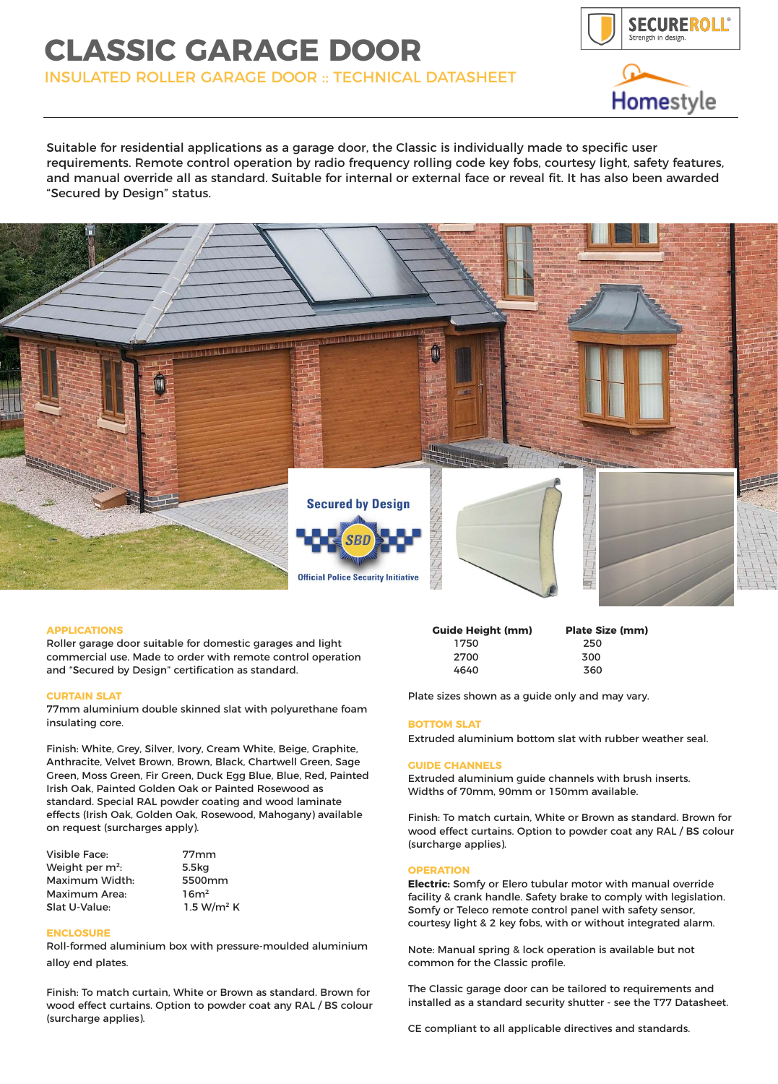# **CLASSIC GARAGE DOOR**

INSULATED ROLLER GARAGE DOOR :: TECHNICAL DATASHEET





Suitable for residential applications as a garage door, the Classic is individually made to specific user requirements. Remote control operation by radio frequency rolling code key fobs, courtesy light, safety features, and manual override all as standard. Suitable for internal or external face or reveal fit. It has also been awarded "Secured by Design" status.



## **APPLICATIONS**

Roller garage door suitable for domestic garages and light commercial use. Made to order with remote control operation and "Secured by Design" certification as standard.

### **CURTAIN SLAT**

77mm aluminium double skinned slat with polyurethane foam insulating core.

Finish: White, Grey, Silver, Ivory, Cream White, Beige, Graphite, Anthracite, Velvet Brown, Brown, Black, Chartwell Green, Sage Green, Moss Green, Fir Green, Duck Egg Blue, Blue, Red, Painted Irish Oak, Painted Golden Oak or Painted Rosewood as standard. Special RAL powder coating and wood laminate effects (Irish Oak, Golden Oak, Rosewood, Mahogany) available on request (surcharges apply).

| <b>Visible Face:</b>        | 77 <sub>mm</sub> |
|-----------------------------|------------------|
| Weight per m <sup>2</sup> : | 5.5kg            |
| Maximum Width:              | 5500mm           |
| Maximum Area:               | 16m <sup>2</sup> |
| Slat U-Value:               | 1.5 $W/m2$       |

### **ENCLOSURE**

Roll-formed aluminium box with pressure-moulded aluminium alloy end plates.

 $W/m^2$  K

Finish: To match curtain, White or Brown as standard. Brown for wood effect curtains. Option to powder coat any RAL / BS colour (surcharge applies).

| <b>Guide Height (mm)</b> | <b>Plate Size (mm)</b> |
|--------------------------|------------------------|
| 1750                     | 250                    |
| 2700                     | 300                    |
| 4640                     | 360                    |

Plate sizes shown as a guide only and may vary.

### **BOTTOM SLAT**

Extruded aluminium bottom slat with rubber weather seal.

#### **GUIDE CHANNELS**

Extruded aluminium guide channels with brush inserts. Widths of 70mm, 90mm or 150mm available.

Finish: To match curtain, White or Brown as standard. Brown for wood effect curtains. Option to powder coat any RAL / BS colour (surcharge applies).

#### **OPERATION**

**Electric:** Somfy or Elero tubular motor with manual override facility & crank handle. Safety brake to comply with legislation. Somfy or Teleco remote control panel with safety sensor, courtesy light & 2 key fobs, with or without integrated alarm.

Note: Manual spring & lock operation is available but not common for the Classic profile.

The Classic garage door can be tailored to requirements and installed as a standard security shutter - see the T77 Datasheet.

CE compliant to all applicable directives and standards.